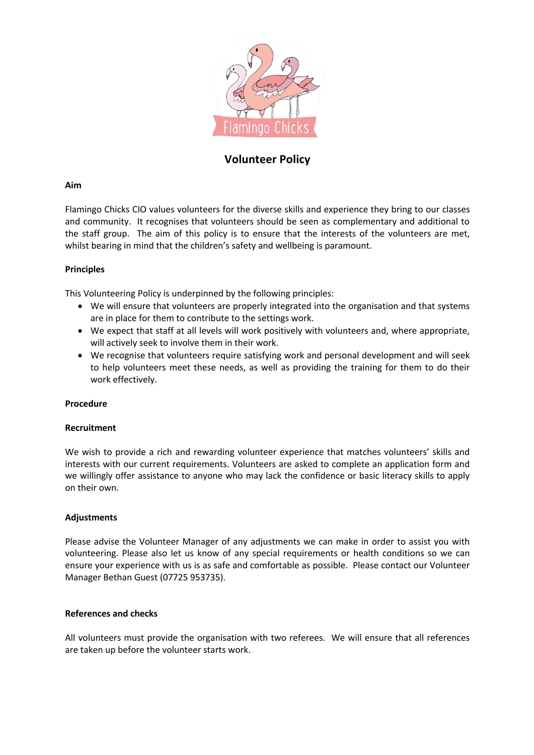

# **Volunteer Policy**

# **Aim**

Flamingo Chicks CIO values volunteers for the diverse skills and experience they bring to our classes and community. It recognises that volunteers should be seen as complementary and additional to the staff group. The aim of this policy is to ensure that the interests of the volunteers are met, whilst bearing in mind that the children's safety and wellbeing is paramount.

# **Principles**

This Volunteering Policy is underpinned by the following principles:

- We will ensure that volunteers are properly integrated into the organisation and that systems are in place for them to contribute to the settings work.
- We expect that staff at all levels will work positively with volunteers and, where appropriate, will actively seek to involve them in their work.
- We recognise that volunteers require satisfying work and personal development and will seek to help volunteers meet these needs, as well as providing the training for them to do their work effectively.

# **Procedure**

# **Recruitment**

We wish to provide a rich and rewarding volunteer experience that matches volunteers' skills and interests with our current requirements. Volunteers are asked to complete an application form and we willingly offer assistance to anyone who may lack the confidence or basic literacy skills to apply on their own.

# **Adjustments**

Please advise the Volunteer Manager of any adjustments we can make in order to assist you with volunteering. Please also let us know of any special requirements or health conditions so we can ensure your experience with us is as safe and comfortable as possible. Please contact our Volunteer Manager Bethan Guest (07725 953735).

# **References and checks**

All volunteers must provide the organisation with two referees. We will ensure that all references are taken up before the volunteer starts work.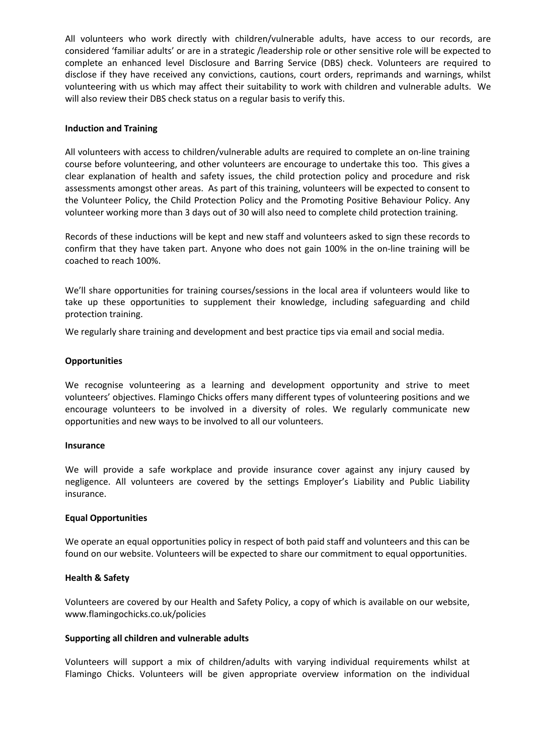All volunteers who work directly with children/vulnerable adults, have access to our records, are considered 'familiar adults' or are in a strategic /leadership role or other sensitive role will be expected to complete an enhanced level Disclosure and Barring Service (DBS) check. Volunteers are required to disclose if they have received any convictions, cautions, court orders, reprimands and warnings, whilst volunteering with us which may affect their suitability to work with children and vulnerable adults. We will also review their DBS check status on a regular basis to verify this.

### **Induction and Training**

All volunteers with access to children/vulnerable adults are required to complete an on-line training course before volunteering, and other volunteers are encourage to undertake this too. This gives a clear explanation of health and safety issues, the child protection policy and procedure and risk assessments amongst other areas. As part of this training, volunteers will be expected to consent to the Volunteer Policy, the Child Protection Policy and the Promoting Positive Behaviour Policy. Any volunteer working more than 3 days out of 30 will also need to complete child protection training.

Records of these inductions will be kept and new staff and volunteers asked to sign these records to confirm that they have taken part. Anyone who does not gain 100% in the on-line training will be coached to reach 100%.

We'll share opportunities for training courses/sessions in the local area if volunteers would like to take up these opportunities to supplement their knowledge, including safeguarding and child protection training.

We regularly share training and development and best practice tips via email and social media.

### **Opportunities**

We recognise volunteering as a learning and development opportunity and strive to meet volunteers' objectives. Flamingo Chicks offers many different types of volunteering positions and we encourage volunteers to be involved in a diversity of roles. We regularly communicate new opportunities and new ways to be involved to all our volunteers.

#### **Insurance**

We will provide a safe workplace and provide insurance cover against any injury caused by negligence. All volunteers are covered by the settings Employer's Liability and Public Liability insurance.

#### **Equal Opportunities**

We operate an equal opportunities policy in respect of both paid staff and volunteers and this can be found on our website. Volunteers will be expected to share our commitment to equal opportunities.

#### **Health & Safety**

Volunteers are covered by our Health and Safety Policy, a copy of which is available on our website, www.flamingochicks.co.uk/policies

#### **Supporting all children and vulnerable adults**

Volunteers will support a mix of children/adults with varying individual requirements whilst at Flamingo Chicks. Volunteers will be given appropriate overview information on the individual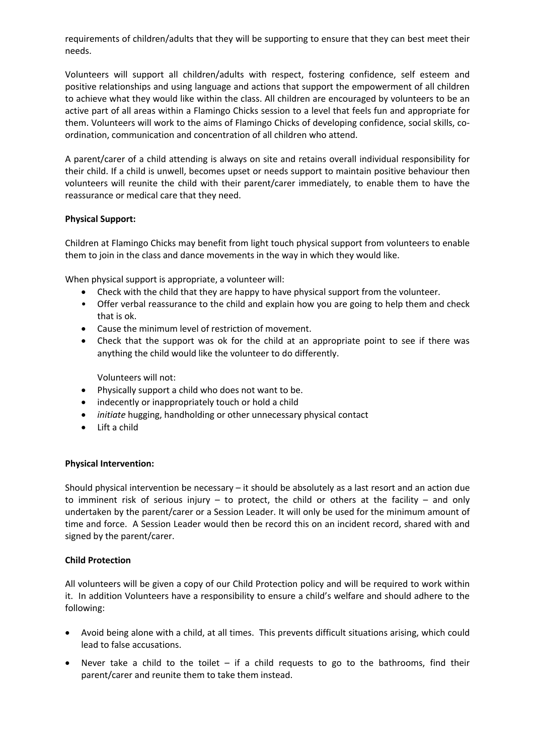requirements of children/adults that they will be supporting to ensure that they can best meet their needs.

Volunteers will support all children/adults with respect, fostering confidence, self esteem and positive relationships and using language and actions that support the empowerment of all children to achieve what they would like within the class. All children are encouraged by volunteers to be an active part of all areas within a Flamingo Chicks session to a level that feels fun and appropriate for them. Volunteers will work to the aims of Flamingo Chicks of developing confidence, social skills, coordination, communication and concentration of all children who attend.

A parent/carer of a child attending is always on site and retains overall individual responsibility for their child. If a child is unwell, becomes upset or needs support to maintain positive behaviour then volunteers will reunite the child with their parent/carer immediately, to enable them to have the reassurance or medical care that they need.

# **Physical Support:**

Children at Flamingo Chicks may benefit from light touch physical support from volunteers to enable them to join in the class and dance movements in the way in which they would like.

When physical support is appropriate, a volunteer will:

- Check with the child that they are happy to have physical support from the volunteer.
- Offer verbal reassurance to the child and explain how you are going to help them and check that is ok.
- Cause the minimum level of restriction of movement.
- Check that the support was ok for the child at an appropriate point to see if there was anything the child would like the volunteer to do differently.

Volunteers will not:

- Physically support a child who does not want to be.
- indecently or inappropriately touch or hold a child
- *initiate* hugging, handholding or other unnecessary physical contact
- Lift a child

# **Physical Intervention:**

Should physical intervention be necessary – it should be absolutely as a last resort and an action due to imminent risk of serious injury – to protect, the child or others at the facility – and only undertaken by the parent/carer or a Session Leader. It will only be used for the minimum amount of time and force. A Session Leader would then be record this on an incident record, shared with and signed by the parent/carer.

# **Child Protection**

All volunteers will be given a copy of our Child Protection policy and will be required to work within it. In addition Volunteers have a responsibility to ensure a child's welfare and should adhere to the following:

- Avoid being alone with a child, at all times. This prevents difficult situations arising, which could lead to false accusations.
- Never take a child to the toilet if a child requests to go to the bathrooms, find their parent/carer and reunite them to take them instead.